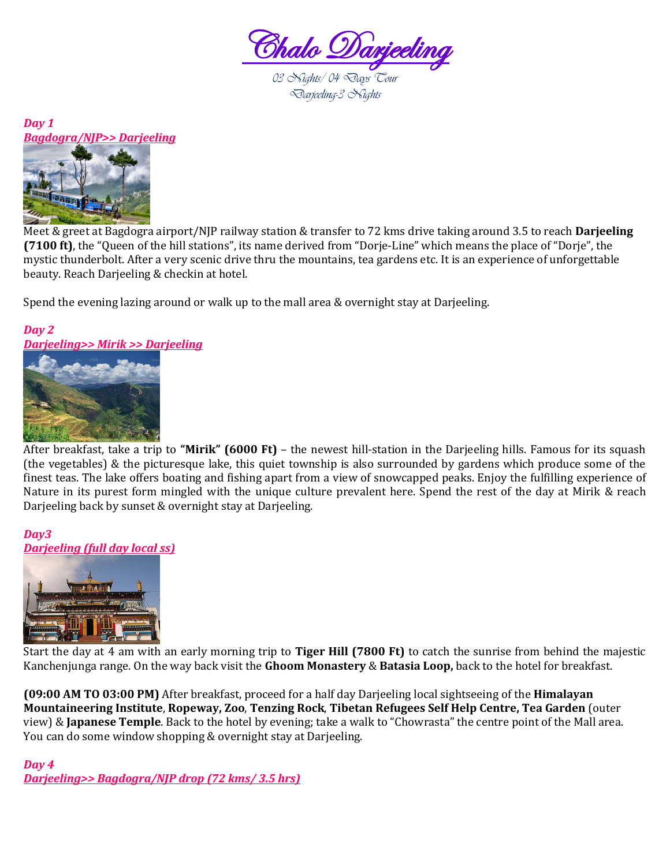



Meet & greet at Bagdogra airport/NJP railway station & transfer to 72 kms drive taking around 3.5 to reach **Darjeeling (7100 ft)**, the "Queen of the hill stations", its name derived from "Dorje-Line" which means the place of "Dorje", the mystic thunderbolt. After a very scenic drive thru the mountains, tea gardens etc. It is an experience of unforgettable beauty. Reach Darjeeling & checkin at hotel.

Spend the evening lazing around or walk up to the mall area & overnight stay at Darjeeling.

## *Day 2 Darjeeling>> Mirik >> Darjeeling*



After breakfast, take a trip to **"Mirik" (6000 Ft)** – the newest hill-station in the Darjeeling hills. Famous for its squash (the vegetables) & the picturesque lake, this quiet township is also surrounded by gardens which produce some of the finest teas. The lake offers boating and fishing apart from a view of snowcapped peaks. Enjoy the fulfilling experience of Nature in its purest form mingled with the unique culture prevalent here. Spend the rest of the day at Mirik & reach Darjeeling back by sunset & overnight stay at Darjeeling.

## *Day3 Darjeeling (full day local ss)*



Start the day at 4 am with an early morning trip to **Tiger Hill (7800 Ft)** to catch the sunrise from behind the majestic Kanchenjunga range. On the way back visit the **Ghoom Monastery** & **Batasia Loop,** back to the hotel for breakfast.

**(09:00 AM TO 03:00 PM)** After breakfast, proceed for a half day Darjeeling local sightseeing of the **Himalayan Mountaineering Institute**, **Ropeway, Zoo**, **Tenzing Rock**, **Tibetan Refugees Self Help Centre, Tea Garden** (outer view) & **Japanese Temple**. Back to the hotel by evening; take a walk to "Chowrasta" the centre point of the Mall area. You can do some window shopping & overnight stay at Darjeeling.

## *Day 4*

*Darjeeling>> Bagdogra/NJP drop (72 kms/ 3.5 hrs)*